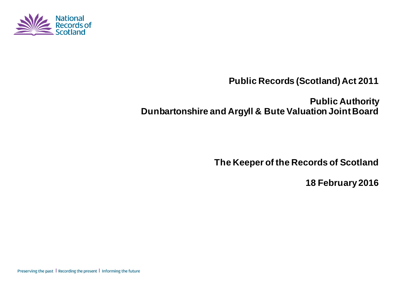

# **Public Records (Scotland) Act 2011**

# **Public Authority Dunbartonshire and Argyll & Bute Valuation Joint Board**

**The Keeper of the Records of Scotland**

**18 February 2016**

Preserving the past | Recording the present | Informing the future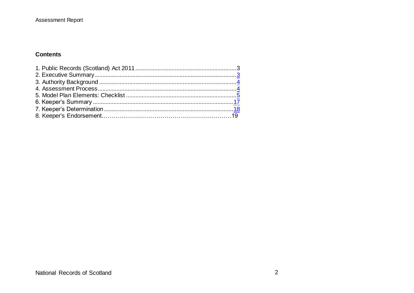#### **Contents**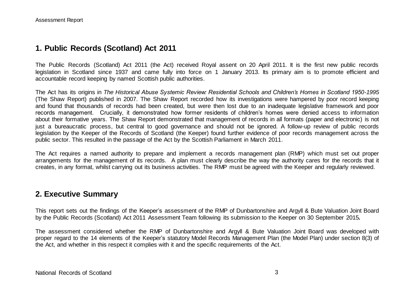### **1. Public Records (Scotland) Act 2011**

The Public Records (Scotland) Act 2011 (the Act) received Royal assent on 20 April 2011. It is the first new public records legislation in Scotland since 1937 and came fully into force on 1 January 2013. Its primary aim is to promote efficient and accountable record keeping by named Scottish public authorities.

The Act has its origins in *The Historical Abuse Systemic Review: Residential Schools and Children's Homes in Scotland 1950-1995* (The Shaw Report) published in 2007. The Shaw Report recorded how its investigations were hampered by poor record keeping and found that thousands of records had been created, but were then lost due to an inadequate legislative framework and poor records management. Crucially, it demonstrated how former residents of children's homes were denied access to information about their formative years. The Shaw Report demonstrated that management of records in all formats (paper and electronic) is not just a bureaucratic process, but central to good governance and should not be ignored. A follow-up review of public records legislation by the Keeper of the Records of Scotland (the Keeper) found further evidence of poor records management across the public sector. This resulted in the passage of the Act by the Scottish Parliament in March 2011.

The Act requires a named authority to prepare and implement a records management plan (RMP) which must set out proper arrangements for the management of its records. A plan must clearly describe the way the authority cares for the records that it creates, in any format, whilst carrying out its business activities. The RMP must be agreed with the Keeper and regularly reviewed.

#### **2. Executive Summary**

This report sets out the findings of the Keeper's assessment of the RMP of Dunbartonshire and Argyll & Bute Valuation Joint Board by the Public Records (Scotland) Act 2011 Assessment Team following its submission to the Keeper on 30 September 2015*.*

The assessment considered whether the RMP of Dunbartonshire and Argyll & Bute Valuation Joint Board was developed with proper regard to the 14 elements of the Keeper's statutory Model Records Management Plan (the Model Plan) under section 8(3) of the Act, and whether in this respect it complies with it and the specific requirements of the Act.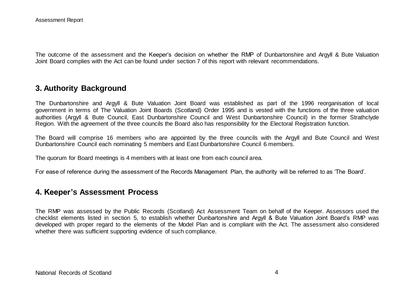The outcome of the assessment and the Keeper's decision on whether the RMP of Dunbartonshire and Argyll & Bute Valuation Joint Board complies with the Act can be found under section 7 of this report with relevant recommendations.

#### **3. Authority Background**

The Dunbartonshire and Argyll & Bute Valuation Joint Board was established as part of the 1996 reorganisation of local government in terms of The Valuation Joint Boards (Scotland) Order 1995 and is vested with the functions of the three valuation authorities (Argyll & Bute Council, East Dunbartonshire Council and West Dunbartonshire Council) in the former Strathclyde Region. With the agreement of the three councils the Board also has responsibility for the Electoral Registration function.

The Board will comprise 16 members who are appointed by the three councils with the Argyll and Bute Council and West Dunbartonshire Council each nominating 5 members and East Dunbartonshire Council 6 members.

The quorum for Board meetings is 4 members with at least one from each council area.

For ease of reference during the assessment of the Records Management Plan, the authority will be referred to as 'The Board'.

#### **4. Keeper's Assessment Process**

The RMP was assessed by the Public Records (Scotland) Act Assessment Team on behalf of the Keeper. Assessors used the checklist elements listed in section 5, to establish whether Dunbartonshire and Argyll & Bute Valuation Joint Board's RMP was developed with proper regard to the elements of the Model Plan and is compliant with the Act. The assessment also considered whether there was sufficient supporting evidence of such compliance.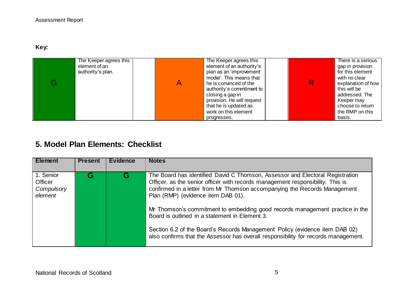**Key:** 

| The Keeper agrees this | The Keeper agrees this     | There is a serious |
|------------------------|----------------------------|--------------------|
| element of an          | element of an authority's  | gap in provision   |
| authority's plan.      | plan as an 'improvement    | for this element   |
|                        | model'. This means that    | with no clear      |
|                        | he is convinced of the     | explanation of how |
|                        | authority's commitment to  | this will be       |
|                        | closing a gap in           | addressed. The     |
|                        | provision. He will request | Keeper may         |
|                        | that he is updated as      | choose to return   |
|                        | work on this element       | the RMP on this    |
|                        | progresses.                | basis.             |

## **5. Model Plan Elements: Checklist**

| <b>Element</b>                                | <b>Present</b> | <b>Evidence</b> | <b>Notes</b>                                                                                                                                                                                                                                                                                                                                                                                                                                                                                                                                                                              |
|-----------------------------------------------|----------------|-----------------|-------------------------------------------------------------------------------------------------------------------------------------------------------------------------------------------------------------------------------------------------------------------------------------------------------------------------------------------------------------------------------------------------------------------------------------------------------------------------------------------------------------------------------------------------------------------------------------------|
| 1. Senior<br>Officer<br>Compulsory<br>element |                | G               | The Board has identified David C Thomson, Assessor and Electoral Registration<br>Officer, as the senior officer with records management responsibility. This is<br>confirmed in a letter from Mr Thomson accompanying the Records Management<br>Plan (RMP) (evidence item DAB 01).<br>Mr Thomson's commitment to embedding good records management practice in the<br>Board is outlined in a statement in Element 3.<br>Section 6.2 of the Board's Records Management Policy (evidence item DAB 02)<br>also confirms that the Assessor has overall responsibility for records management. |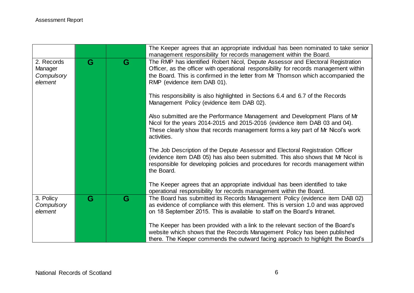|                                                |   |   | The Keeper agrees that an appropriate individual has been nominated to take senior                                                                                                                                                                                                          |
|------------------------------------------------|---|---|---------------------------------------------------------------------------------------------------------------------------------------------------------------------------------------------------------------------------------------------------------------------------------------------|
|                                                |   |   | management responsibility for records management within the Board.                                                                                                                                                                                                                          |
| 2. Records<br>Manager<br>Compulsory<br>element | G | G | The RMP has identified Robert Nicol, Depute Assessor and Electoral Registration<br>Officer, as the officer with operational responsibility for records management within<br>the Board. This is confirmed in the letter from Mr Thomson which accompanied the<br>RMP (evidence item DAB 01). |
|                                                |   |   | This responsibility is also highlighted in Sections 6.4 and 6.7 of the Records<br>Management Policy (evidence item DAB 02).                                                                                                                                                                 |
|                                                |   |   | Also submitted are the Performance Management and Development Plans of Mr<br>Nicol for the years 2014-2015 and 2015-2016 (evidence item DAB 03 and 04).<br>These clearly show that records management forms a key part of Mr Nicol's work<br>activities.                                    |
|                                                |   |   | The Job Description of the Depute Assessor and Electoral Registration Officer<br>(evidence item DAB 05) has also been submitted. This also shows that Mr Nicol is<br>responsible for developing policies and procedures for records management within<br>the Board.                         |
|                                                |   |   | The Keeper agrees that an appropriate individual has been identified to take<br>operational responsibility for records management within the Board.                                                                                                                                         |
| 3. Policy<br>Compulsory<br>element             | G | G | The Board has submitted its Records Management Policy (evidence item DAB 02)<br>as evidence of compliance with this element. This is version 1.0 and was approved<br>on 18 September 2015. This is available to staff on the Board's Intranet.                                              |
|                                                |   |   | The Keeper has been provided with a link to the relevant section of the Board's<br>website which shows that the Records Management Policy has been published<br>there. The Keeper commends the outward facing approach to highlight the Board's                                             |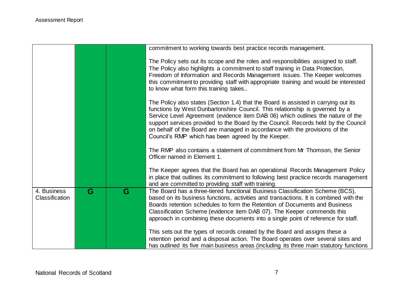|                               |   |   | commitment to working towards best practice records management.                                                                                                                                                                                                                                                                                                                                                                                                                   |
|-------------------------------|---|---|-----------------------------------------------------------------------------------------------------------------------------------------------------------------------------------------------------------------------------------------------------------------------------------------------------------------------------------------------------------------------------------------------------------------------------------------------------------------------------------|
|                               |   |   | The Policy sets out its scope and the roles and responsibilities assigned to staff.<br>The Policy also highlights a commitment to staff training in Data Protection,<br>Freedom of Information and Records Management issues. The Keeper welcomes<br>this commitment to providing staff with appropriate training and would be interested<br>to know what form this training takes                                                                                                |
|                               |   |   | The Policy also states (Section 1.4) that the Board is assisted in carrying out its<br>functions by West Dunbartonshire Council. This relationship is governed by a<br>Service Level Agreement (evidence item DAB 06) which outlines the nature of the<br>support services provided to the Board by the Council. Records held by the Council<br>on behalf of the Board are managed in accordance with the provisions of the<br>Council's RMP which has been agreed by the Keeper. |
|                               |   |   | The RMP also contains a statement of commitment from Mr Thomson, the Senior<br>Officer named in Element 1.                                                                                                                                                                                                                                                                                                                                                                        |
|                               |   |   | The Keeper agrees that the Board has an operational Records Management Policy<br>in place that outlines its commitment to following best practice records management<br>and are committed to providing staff with training.                                                                                                                                                                                                                                                       |
| 4. Business<br>Classification | G | G | The Board has a three-tiered functional Business Classification Scheme (BCS),<br>based on its business functions, activities and transactions. It is combined with the<br>Boards retention schedules to form the Retention of Documents and Business<br>Classification Scheme (evidence item DAB 07). The Keeper commends this<br>approach in combining these documents into a single point of reference for staff.                                                               |
|                               |   |   | This sets out the types of records created by the Board and assigns these a<br>retention period and a disposal action. The Board operates over several sites and<br>has outlined its five main business areas (including its three main statutory functions                                                                                                                                                                                                                       |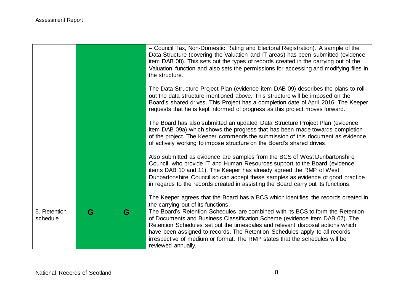|                          |   |   | - Council Tax, Non-Domestic Rating and Electoral Registration). A sample of the<br>Data Structure (covering the Valuation and IT areas) has been submitted (evidence<br>item DAB 08). This sets out the types of records created in the carrying out of the<br>Valuation function and also sets the permissions for accessing and modifying files in<br>the structure.                                                               |
|--------------------------|---|---|--------------------------------------------------------------------------------------------------------------------------------------------------------------------------------------------------------------------------------------------------------------------------------------------------------------------------------------------------------------------------------------------------------------------------------------|
|                          |   |   | The Data Structure Project Plan (evidence item DAB 09) describes the plans to roll-<br>out the data structure mentioned above. This structure will be imposed on the<br>Board's shared drives. This Project has a completion date of April 2016. The Keeper<br>requests that he is kept informed of progress as this project moves forward.                                                                                          |
|                          |   |   | The Board has also submitted an updated Data Structure Project Plan (evidence<br>item DAB 09a) which shows the progress that has been made towards completion<br>of the project. The Keeper commends the submission of this document as evidence<br>of actively working to impose structure on the Board's shared drives.                                                                                                            |
|                          |   |   | Also submitted as evidence are samples from the BCS of West Dunbartonshire<br>Council, who provide IT and Human Resources support to the Board (evidence<br>items DAB 10 and 11). The Keeper has already agreed the RMP of West<br>Dunbartonshire Council so can accept these samples as evidence of good practice<br>in regards to the records created in assisting the Board carry out its functions.                              |
|                          |   |   | The Keeper agrees that the Board has a BCS which identifies the records created in<br>the carrying out of its functions.                                                                                                                                                                                                                                                                                                             |
| 5. Retention<br>schedule | G | G | The Board's Retention Schedules are combined with its BCS to form the Retention<br>of Documents and Business Classification Scheme (evidence item DAB 07). The<br>Retention Schedules set out the timescales and relevant disposal actions which<br>have been assigned to records. The Retention Schedules apply to all records<br>irrespective of medium or format. The RMP states that the schedules will be<br>reviewed annually. |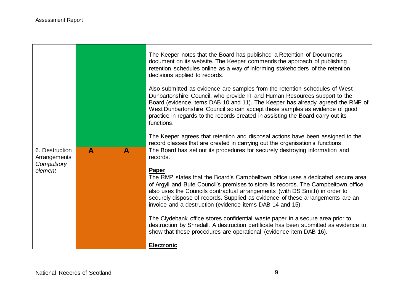|                                |   |              | The Keeper notes that the Board has published a Retention of Documents<br>document on its website. The Keeper commends the approach of publishing<br>retention schedules online as a way of informing stakeholders of the retention<br>decisions applied to records.                                                                                                                                                       |
|--------------------------------|---|--------------|----------------------------------------------------------------------------------------------------------------------------------------------------------------------------------------------------------------------------------------------------------------------------------------------------------------------------------------------------------------------------------------------------------------------------|
|                                |   |              | Also submitted as evidence are samples from the retention schedules of West<br>Dunbartonshire Council, who provide IT and Human Resources support to the<br>Board (evidence items DAB 10 and 11). The Keeper has already agreed the RMP of<br>West Dunbartonshire Council so can accept these samples as evidence of good<br>practice in regards to the records created in assisting the Board carry out its<br>functions. |
|                                |   |              | The Keeper agrees that retention and disposal actions have been assigned to the<br>record classes that are created in carrying out the organisation's functions.                                                                                                                                                                                                                                                           |
| 6. Destruction<br>Arrangements | A | $\mathbf{A}$ | The Board has set out its procedures for securely destroying information and<br>records.                                                                                                                                                                                                                                                                                                                                   |
| Compulsory<br>element          |   |              | <b>Paper</b><br>The RMP states that the Board's Campbeltown office uses a dedicated secure area<br>of Argyll and Bute Council's premises to store its records. The Campbeltown office<br>also uses the Councils contractual arrangements (with DS Smith) in order to<br>securely dispose of records. Supplied as evidence of these arrangements are an<br>invoice and a destruction (evidence items DAB 14 and 15).        |
|                                |   |              | The Clydebank office stores confidential waste paper in a secure area prior to<br>destruction by Shredall. A destruction certificate has been submitted as evidence to<br>show that these procedures are operational (evidence item DAB 16).                                                                                                                                                                               |
|                                |   |              | <b>Electronic</b>                                                                                                                                                                                                                                                                                                                                                                                                          |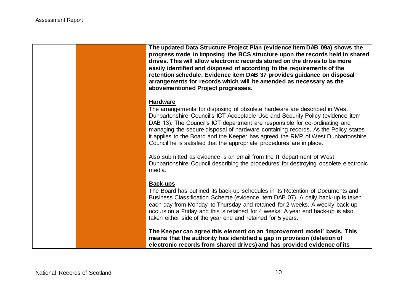|  | The updated Data Structure Project Plan (evidence item DAB 09a) shows the<br>progress made in imposing the BCS structure upon the records held in shared<br>drives. This will allow electronic records stored on the drives to be more<br>easily identified and disposed of according to the requirements of the<br>retention schedule. Evidence item DAB 37 provides guidance on disposal<br>arrangements for records which will be amended as necessary as the<br>abovementioned Project progresses.          |
|--|-----------------------------------------------------------------------------------------------------------------------------------------------------------------------------------------------------------------------------------------------------------------------------------------------------------------------------------------------------------------------------------------------------------------------------------------------------------------------------------------------------------------|
|  | <b>Hardware</b><br>The arrangements for disposing of obsolete hardware are described in West<br>Dunbartonshire Council's ICT Acceptable Use and Security Policy (evidence item<br>DAB 13). The Council's ICT department are responsible for co-ordinating and<br>managing the secure disposal of hardware containing records. As the Policy states<br>it applies to the Board and the Keeper has agreed the RMP of West Dunbartonshire<br>Council he is satisfied that the appropriate procedures are in place. |
|  | Also submitted as evidence is an email from the IT department of West<br>Dunbartonshire Council describing the procedures for destroying obsolete electronic<br>media.                                                                                                                                                                                                                                                                                                                                          |
|  | <b>Back-ups</b><br>The Board has outlined its back-up schedules in its Retention of Documents and<br>Business Classification Scheme (evidence item DAB 07). A daily back-up is taken<br>each day from Monday to Thursday and retained for 2 weeks. A weekly back-up<br>occurs on a Friday and this is retained for 4 weeks. A year end back-up is also<br>taken either side of the year end and retained for 5 years.                                                                                           |
|  | The Keeper can agree this element on an 'improvement model' basis. This<br>means that the authority has identified a gap in provision (deletion of<br>electronic records from shared drives) and has provided evidence of its                                                                                                                                                                                                                                                                                   |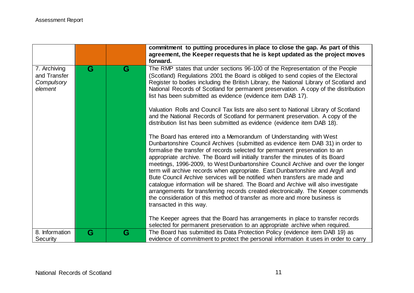|                                                       |   |   | agreement, the Keeper requests that he is kept updated as the project moves                                                                                                                                                                                                                                                                                                                                                                                                                                                                                                                |
|-------------------------------------------------------|---|---|--------------------------------------------------------------------------------------------------------------------------------------------------------------------------------------------------------------------------------------------------------------------------------------------------------------------------------------------------------------------------------------------------------------------------------------------------------------------------------------------------------------------------------------------------------------------------------------------|
|                                                       |   |   | forward.                                                                                                                                                                                                                                                                                                                                                                                                                                                                                                                                                                                   |
| 7. Archiving<br>and Transfer<br>Compulsory<br>element | G | G | The RMP states that under sections 96-100 of the Representation of the People<br>(Scotland) Regulations 2001 the Board is obliged to send copies of the Electoral<br>Register to bodies including the British Library, the National Library of Scotland and<br>National Records of Scotland for permanent preservation. A copy of the distribution<br>list has been submitted as evidence (evidence item DAB 17).<br>Valuation Rolls and Council Tax lists are also sent to National Library of Scotland<br>and the National Records of Scotland for permanent preservation. A copy of the |
|                                                       |   |   | distribution list has been submitted as evidence (evidence item DAB 18).<br>The Board has entered into a Memorandum of Understanding with West<br>Dunbartonshire Council Archives (submitted as evidence item DAB 31) in order to<br>formalise the transfer of records selected for permanent preservation to an<br>appropriate archive. The Board will initially transfer the minutes of its Board<br>meetings, 1996-2009, to West Dunbartonshire Council Archive and over the longer<br>term will archive records when appropriate. East Dunbartonshire and Argyll and                   |
|                                                       |   |   | Bute Council Archive services will be notified when transfers are made and<br>catalogue information will be shared. The Board and Archive will also investigate<br>arrangements for transferring records created electronically. The Keeper commends<br>the consideration of this method of transfer as more and more business is<br>transacted in this way.<br>The Keeper agrees that the Board has arrangements in place to transfer records<br>selected for permanent preservation to an appropriate archive when required.                                                             |
| 8. Information<br>Security                            | G | G | The Board has submitted its Data Protection Policy (evidence item DAB 19) as<br>evidence of commitment to protect the personal information it uses in order to carry                                                                                                                                                                                                                                                                                                                                                                                                                       |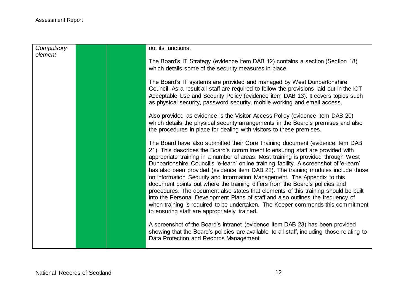| Compulsory |  | out its functions.                                                                        |
|------------|--|-------------------------------------------------------------------------------------------|
| element    |  |                                                                                           |
|            |  | The Board's IT Strategy (evidence item DAB 12) contains a section (Section 18)            |
|            |  |                                                                                           |
|            |  | which details some of the security measures in place.                                     |
|            |  |                                                                                           |
|            |  | The Board's IT systems are provided and managed by West Dunbartonshire                    |
|            |  | Council. As a result all staff are required to follow the provisions laid out in the ICT  |
|            |  | Acceptable Use and Security Policy (evidence item DAB 13). It covers topics such          |
|            |  |                                                                                           |
|            |  | as physical security, password security, mobile working and email access.                 |
|            |  |                                                                                           |
|            |  | Also provided as evidence is the Visitor Access Policy (evidence item DAB 20)             |
|            |  | which details the physical security arrangements in the Board's premises and also         |
|            |  | the procedures in place for dealing with visitors to these premises.                      |
|            |  |                                                                                           |
|            |  |                                                                                           |
|            |  | The Board have also submitted their Core Training document (evidence item DAB             |
|            |  | 21). This describes the Board's commitment to ensuring staff are provided with            |
|            |  | appropriate training in a number of areas. Most training is provided through West         |
|            |  | Dunbartonshire Council's 'e-learn' online training facility. A screenshot of 'e-learn'    |
|            |  | has also been provided (evidence item DAB 22). The training modules include those         |
|            |  |                                                                                           |
|            |  | on Information Security and Information Management. The Appendix to this                  |
|            |  | document points out where the training differs from the Board's policies and              |
|            |  | procedures. The document also states that elements of this training should be built       |
|            |  | into the Personal Development Plans of staff and also outlines the frequency of           |
|            |  | when training is required to be undertaken. The Keeper commends this commitment           |
|            |  |                                                                                           |
|            |  | to ensuring staff are appropriately trained.                                              |
|            |  |                                                                                           |
|            |  | A screenshot of the Board's intranet (evidence item DAB 23) has been provided             |
|            |  | showing that the Board's policies are available to all staff, including those relating to |
|            |  | Data Protection and Records Management.                                                   |
|            |  |                                                                                           |
|            |  |                                                                                           |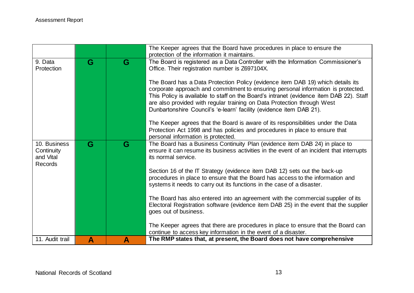|                                                    |   |   | The Keeper agrees that the Board have procedures in place to ensure the<br>protection of the information it maintains.                                                                                                                                                                                                                                                                                                                                                                                                                                                                                                                                                                                                                                                                                                                     |
|----------------------------------------------------|---|---|--------------------------------------------------------------------------------------------------------------------------------------------------------------------------------------------------------------------------------------------------------------------------------------------------------------------------------------------------------------------------------------------------------------------------------------------------------------------------------------------------------------------------------------------------------------------------------------------------------------------------------------------------------------------------------------------------------------------------------------------------------------------------------------------------------------------------------------------|
| 9. Data<br>Protection                              | G | G | The Board is registered as a Data Controller with the Information Commissioner's<br>Office. Their registration number is Z697104X.<br>The Board has a Data Protection Policy (evidence item DAB 19) which details its<br>corporate approach and commitment to ensuring personal information is protected.<br>This Policy is available to staff on the Board's intranet (evidence item DAB 22). Staff<br>are also provided with regular training on Data Protection through West<br>Dunbartonshire Council's 'e-learn' facility (evidence item DAB 21).<br>The Keeper agrees that the Board is aware of its responsibilities under the Data<br>Protection Act 1998 and has policies and procedures in place to ensure that                                                                                                                  |
| 10. Business<br>Continuity<br>and Vital<br>Records | G | G | personal information is protected.<br>The Board has a Business Continuity Plan (evidence item DAB 24) in place to<br>ensure it can resume its business activities in the event of an incident that interrupts<br>its normal service.<br>Section 16 of the IT Strategy (evidence item DAB 12) sets out the back-up<br>procedures in place to ensure that the Board has access to the information and<br>systems it needs to carry out its functions in the case of a disaster.<br>The Board has also entered into an agreement with the commercial supplier of its<br>Electoral Registration software (evidence item DAB 25) in the event that the supplier<br>goes out of business.<br>The Keeper agrees that there are procedures in place to ensure that the Board can<br>continue to access key information in the event of a disaster. |
| 11. Audit trail                                    | A | A | The RMP states that, at present, the Board does not have comprehensive                                                                                                                                                                                                                                                                                                                                                                                                                                                                                                                                                                                                                                                                                                                                                                     |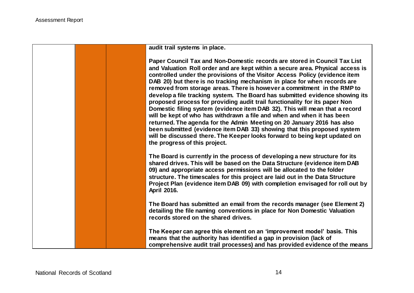**audit trail systems in place.**

**Paper Council Tax and Non-Domestic records are stored in Council Tax List and Valuation Roll order and are kept within a secure area. Physical access is controlled under the provisions of the Visitor Access Policy (evidence item DAB 20) but there is no tracking mechanism in place for when records are removed from storage areas. There is however a commitment in the RMP to develop a file tracking system. The Board has submitted evidence showing its proposed process for providing audit trail functionality for its paper Non Domestic filing system (evidence item DAB 32). This will mean that a record will be kept of who has withdrawn a file and when and when it has been returned. The agenda for the Admin Meeting on 20 January 2016 has also been submitted (evidence item DAB 33) showing that this proposed system will be discussed there. The Keeper looks forward to being kept updated on the progress of this project.**

**The Board is currently in the process of developing a new structure for its shared drives. This will be based on the Data Structure (evidence item DAB 09) and appropriate access permissions will be allocated to the folder structure. The timescales for this project are laid out in the Data Structure Project Plan (evidence item DAB 09) with completion envisaged for roll out by April 2016.** 

**The Board has submitted an email from the records manager (see Element 2) detailing the file naming conventions in place for Non Domestic Valuation records stored on the shared drives.**

**The Keeper can agree this element on an 'improvement model' basis. This means that the authority has identified a gap in provision (lack of comprehensive audit trail processes) and has provided evidence of the means**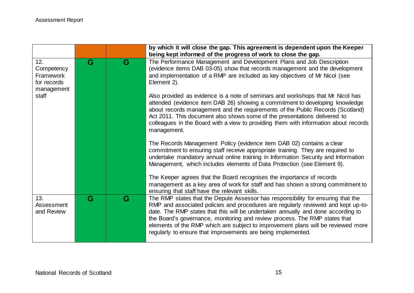|                                                             |   |   | by which it will close the gap. This agreement is dependent upon the Keeper                                                                                                                                                                                                                                                                                                                                                                                                                 |
|-------------------------------------------------------------|---|---|---------------------------------------------------------------------------------------------------------------------------------------------------------------------------------------------------------------------------------------------------------------------------------------------------------------------------------------------------------------------------------------------------------------------------------------------------------------------------------------------|
|                                                             |   |   | being kept informed of the progress of work to close the gap.                                                                                                                                                                                                                                                                                                                                                                                                                               |
| 12.<br>Competency<br>Framework<br>for records<br>management | G | G | The Performance Management and Development Plans and Job Description<br>(evidence items DAB 03-05) show that records management and the development<br>and implementation of a RMP are included as key objectives of Mr Nicol (see<br>Element 2).                                                                                                                                                                                                                                           |
| staff                                                       |   |   | Also provided as evidence is a note of seminars and workshops that Mr Nicol has<br>attended (evidence item DAB 26) showing a commitment to developing knowledge<br>about records management and the requirements of the Public Records (Scotland)<br>Act 2011. This document also shows some of the presentations delivered to<br>colleagues in the Board with a view to providing them with information about records<br>management.                                                       |
|                                                             |   |   | The Records Management Policy (evidence item DAB 02) contains a clear<br>commitment to ensuring staff receive appropriate training. They are required to<br>undertake mandatory annual online training in Information Security and Information<br>Management, which includes elements of Data Protection (see Element 9).                                                                                                                                                                   |
|                                                             |   |   | The Keeper agrees that the Board recognises the importance of records<br>management as a key area of work for staff and has shown a strong commitment to<br>ensuring that staff have the relevant skills.                                                                                                                                                                                                                                                                                   |
| 13.<br>Assessment<br>and Review                             | G | G | The RMP states that the Depute Assessor has responsibility for ensuring that the<br>RMP and associated policies and procedures are regularly reviewed and kept up-to-<br>date. The RMP states that this will be undertaken annually and done according to<br>the Board's governance, monitoring and review process. The RMP states that<br>elements of the RMP which are subject to improvement plans will be reviewed more<br>regularly to ensure that improvements are being implemented. |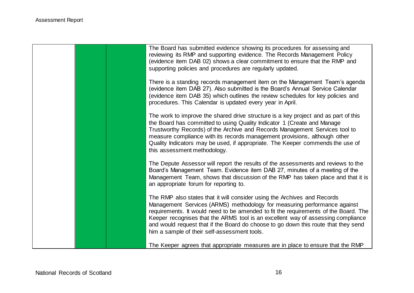| The Board has submitted evidence showing its procedures for assessing and<br>reviewing its RMP and supporting evidence. The Records Management Policy<br>(evidence item DAB 02) shows a clear commitment to ensure that the RMP and<br>supporting policies and procedures are regularly updated.                                                                                                                                                                      |
|-----------------------------------------------------------------------------------------------------------------------------------------------------------------------------------------------------------------------------------------------------------------------------------------------------------------------------------------------------------------------------------------------------------------------------------------------------------------------|
| There is a standing records management item on the Management Team's agenda<br>(evidence item DAB 27). Also submitted is the Board's Annual Service Calendar<br>(evidence item DAB 35) which outlines the review schedules for key policies and<br>procedures. This Calendar is updated every year in April.                                                                                                                                                          |
| The work to improve the shared drive structure is a key project and as part of this<br>the Board has committed to using Quality Indicator 1 (Create and Manage<br>Trustworthy Records) of the Archive and Records Management Services tool to<br>measure compliance with its records management provisions, although other<br>Quality Indicators may be used, if appropriate. The Keeper commends the use of<br>this assessment methodology.                          |
| The Depute Assessor will report the results of the assessments and reviews to the<br>Board's Management Team. Evidence item DAB 27, minutes of a meeting of the<br>Management Team, shows that discussion of the RMP has taken place and that it is<br>an appropriate forum for reporting to.                                                                                                                                                                         |
| The RMP also states that it will consider using the Archives and Records<br>Management Services (ARMS) methodology for measuring performance against<br>requirements. It would need to be amended to fit the requirements of the Board. The<br>Keeper recognises that the ARMS tool is an excellent way of assessing compliance<br>and would request that if the Board do choose to go down this route that they send<br>him a sample of their self-assessment tools. |
| The Keeper agrees that appropriate measures are in place to ensure that the RMP                                                                                                                                                                                                                                                                                                                                                                                       |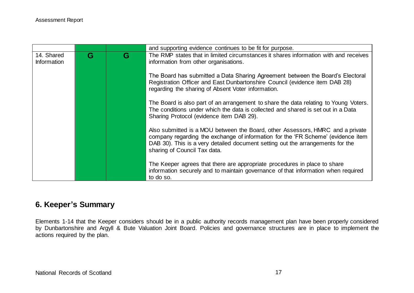|                                  |   |   | and supporting evidence continues to be fit for purpose.                                                                                                                                                                                                                             |
|----------------------------------|---|---|--------------------------------------------------------------------------------------------------------------------------------------------------------------------------------------------------------------------------------------------------------------------------------------|
| 14. Shared<br><b>Information</b> | G | G | The RMP states that in limited circumstances it shares information with and receives<br>information from other organisations.                                                                                                                                                        |
|                                  |   |   | The Board has submitted a Data Sharing Agreement between the Board's Electoral<br>Registration Officer and East Dunbartonshire Council (evidence item DAB 28)<br>regarding the sharing of Absent Voter information.                                                                  |
|                                  |   |   | The Board is also part of an arrangement to share the data relating to Young Voters.<br>The conditions under which the data is collected and shared is set out in a Data<br>Sharing Protocol (evidence item DAB 29).                                                                 |
|                                  |   |   | Also submitted is a MOU between the Board, other Assessors, HMRC and a private<br>company regarding the exchange of information for the 'FR Scheme' (evidence item<br>DAB 30). This is a very detailed document setting out the arrangements for the<br>sharing of Council Tax data. |
|                                  |   |   | The Keeper agrees that there are appropriate procedures in place to share<br>information securely and to maintain governance of that information when required<br>to do so.                                                                                                          |

## **6. Keeper's Summary**

Elements 1-14 that the Keeper considers should be in a public authority records management plan have been properly considered by Dunbartonshire and Argyll & Bute Valuation Joint Board. Policies and governance structures are in place to implement the actions required by the plan.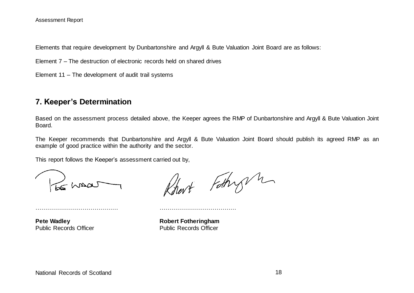Elements that require development by Dunbartonshire and Argyll & Bute Valuation Joint Board are as follows:

Element 7 – The destruction of electronic records held on shared drives

Element 11 – The development of audit trail systems

### **7. Keeper's Determination**

Based on the assessment process detailed above, the Keeper agrees the RMP of Dunbartonshire and Argyll & Bute Valuation Joint Board.

The Keeper recommends that Dunbartonshire and Argyll & Bute Valuation Joint Board should publish its agreed RMP as an example of good practice within the authority and the sector.

This report follows the Keeper's assessment carried out by,

…………………………………… …………………………………

Shaa

art Fothy h

**Pete Wadley Robert Fotheringham** Public Records Officer Public Records Officer